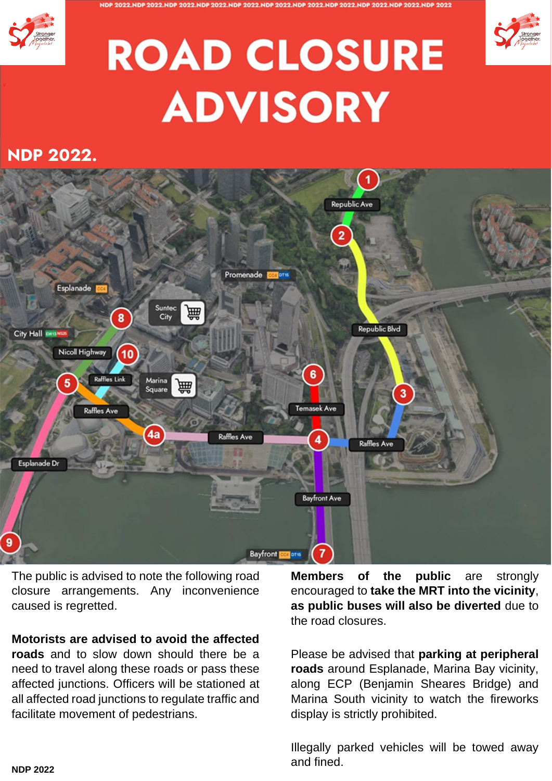





## **ROAD CLOSURE ADVISORY**

## **NDP 2022.**



The public is advised to note the following road closure arrangements. Any inconvenience caused is regretted.

## **Motorists are advised to avoid the affected**

**roads** and to slow down should there be a need to travel along these roads or pass these affected junctions. Officers will be stationed at all affected road junctions to regulate traffic and facilitate movement of pedestrians.

**Members of the public** are strongly encouraged to **take the MRT into the vicinity**, **as public buses will also be diverted** due to the road closures.

Please be advised that **parking at peripheral roads** around Esplanade, Marina Bay vicinity, along ECP (Benjamin Sheares Bridge) and Marina South vicinity to watch the fireworks display is strictly prohibited.

Illegally parked vehicles will be towed away and fined.